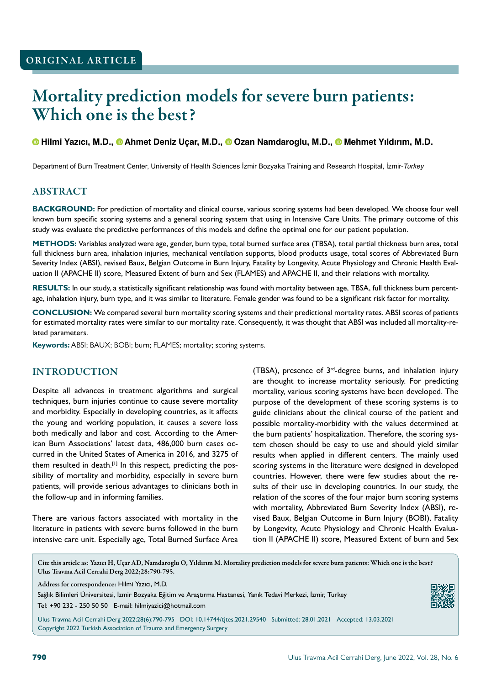# Mortality prediction models for severe burn patients: Which one is the best?

## **Hilmi Yazıcı, M.D.,Ahmet Deniz Uçar, M.D.,Ozan Namdaroglu, M.D.,Mehmet Yıldırım, M.D.**

Department of Burn Treatment Center, University of Health Sciences İzmir Bozyaka Training and Research Hospital, İzmir-*Turkey*

## ABSTRACT

**BACKGROUND:** For prediction of mortality and clinical course, various scoring systems had been developed. We choose four well known burn specific scoring systems and a general scoring system that using in Intensive Care Units. The primary outcome of this study was evaluate the predictive performances of this models and define the optimal one for our patient population.

**METHODS:** Variables analyzed were age, gender, burn type, total burned surface area (TBSA), total partial thickness burn area, total full thickness burn area, inhalation injuries, mechanical ventilation supports, blood products usage, total scores of Abbreviated Burn Severity Index (ABSI), revised Baux, Belgian Outcome in Burn Injury, Fatality by Longevity, Acute Physiology and Chronic Health Evaluation II (APACHE II) score, Measured Extent of burn and Sex (FLAMES) and APACHE II, and their relations with mortality.

**RESULTS:** In our study, a statistically significant relationship was found with mortality between age, TBSA, full thickness burn percentage, inhalation injury, burn type, and it was similar to literature. Female gender was found to be a significant risk factor for mortality.

**CONCLUSION:** We compared several burn mortality scoring systems and their predictional mortality rates. ABSI scores of patients for estimated mortality rates were similar to our mortality rate. Consequently, it was thought that ABSI was included all mortality-related parameters.

**Keywords:** ABSI; BAUX; BOBI; burn; FLAMES; mortality; scoring systems.

## INTRODUCTION

Despite all advances in treatment algorithms and surgical techniques, burn injuries continue to cause severe mortality and morbidity. Especially in developing countries, as it affects the young and working population, it causes a severe loss both medically and labor and cost. According to the American Burn Associations' latest data, 486,000 burn cases occurred in the United States of America in 2016, and 3275 of them resulted in death.<sup>[1]</sup> In this respect, predicting the possibility of mortality and morbidity, especially in severe burn patients, will provide serious advantages to clinicians both in the follow-up and in informing families.

There are various factors associated with mortality in the literature in patients with severe burns followed in the burn intensive care unit. Especially age, Total Burned Surface Area (TBSA), presence of 3rd-degree burns, and inhalation injury are thought to increase mortality seriously. For predicting mortality, various scoring systems have been developed. The purpose of the development of these scoring systems is to guide clinicians about the clinical course of the patient and possible mortality-morbidity with the values determined at the burn patients' hospitalization. Therefore, the scoring system chosen should be easy to use and should yield similar results when applied in different centers. The mainly used scoring systems in the literature were designed in developed countries. However, there were few studies about the results of their use in developing countries. In our study, the relation of the scores of the four major burn scoring systems with mortality, Abbreviated Burn Severity Index (ABSI), revised Baux, Belgian Outcome in Burn Injury (BOBI), Fatality by Longevity, Acute Physiology and Chronic Health Evaluation II (APACHE II) score, Measured Extent of burn and Sex

Cite this article as: Yazıcı H, Uçar AD, Namdaroglu O, Yıldırım M. Mortality prediction models for severe burn patients: Which one is the best? Ulus Travma Acil Cerrahi Derg 2022;28:790-795.

Address for correspondence: Hilmi Yazıcı, M.D.

Sağlık Bilimleri Üniversitesi, İzmir Bozyaka Eğitim ve Araştırma Hastanesi, Yanık Tedavi Merkezi, İzmir, Turkey Tel: +90 232 - 250 50 50 E-mail: hilmiyazici@hotmail.com



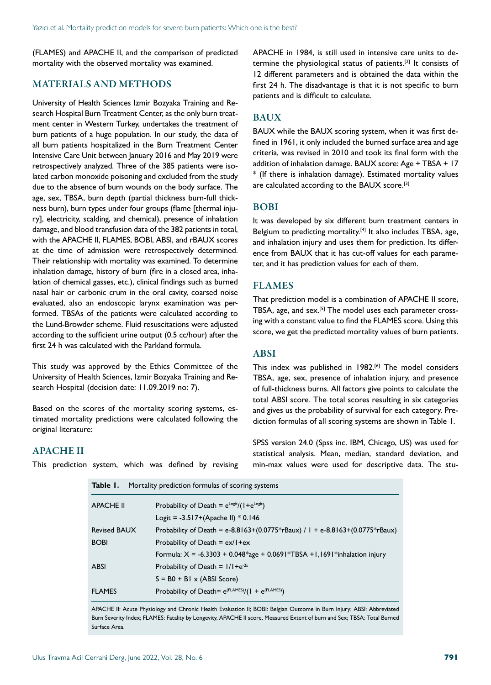(FLAMES) and APACHE II, and the comparison of predicted mortality with the observed mortality was examined.

## MATERIALS AND METHODS

University of Health Sciences Izmir Bozyaka Training and Research Hospital Burn Treatment Center, as the only burn treatment center in Western Turkey, undertakes the treatment of burn patients of a huge population. In our study, the data of all burn patients hospitalized in the Burn Treatment Center Intensive Care Unit between January 2016 and May 2019 were retrospectively analyzed. Three of the 385 patients were isolated carbon monoxide poisoning and excluded from the study due to the absence of burn wounds on the body surface. The age, sex, TBSA, burn depth (partial thickness burn-full thickness burn), burn types under four groups (flame [thermal injury], electricity, scalding, and chemical), presence of inhalation damage, and blood transfusion data of the 382 patients in total, with the APACHE II, FLAMES, BOBI, ABSI, and rBAUX scores at the time of admission were retrospectively determined. Their relationship with mortality was examined. To determine inhalation damage, history of burn (fire in a closed area, inhalation of chemical gasses, etc.), clinical findings such as burned nasal hair or carbonic crum in the oral cavity, coarsed noise evaluated, also an endoscopic larynx examination was performed. TBSAs of the patients were calculated according to the Lund-Browder scheme. Fluid resuscitations were adjusted according to the sufficient urine output (0.5 cc/hour) after the first 24 h was calculated with the Parkland formula.

This study was approved by the Ethics Committee of the University of Health Sciences, Izmir Bozyaka Training and Research Hospital (decision date: 11.09.2019 no: 7).

Based on the scores of the mortality scoring systems, estimated mortality predictions were calculated following the original literature:

APACHE in 1984, is still used in intensive care units to determine the physiological status of patients.[2] It consists of 12 different parameters and is obtained the data within the first 24 h. The disadvantage is that it is not specific to burn patients and is difficult to calculate.

## **BAUX**

BAUX while the BAUX scoring system, when it was first defined in 1961, it only included the burned surface area and age criteria, was revised in 2010 and took its final form with the addition of inhalation damage. BAUX score: Age + TBSA + 17 \* (If there is inhalation damage). Estimated mortality values are calculated according to the BAUX score.<sup>[3]</sup>

#### BOBI

It was developed by six different burn treatment centers in Belgium to predicting mortality.<sup>[4]</sup> It also includes TBSA, age, and inhalation injury and uses them for prediction. Its difference from BAUX that it has cut-off values for each parameter, and it has prediction values for each of them.

## FLAMES

That prediction model is a combination of APACHE II score, TBSA, age, and sex.[5] The model uses each parameter crossing with a constant value to find the FLAMES score. Using this score, we get the predicted mortality values of burn patients.

## ABSI

This index was published in 1982.<sup>[6]</sup> The model considers TBSA, age, sex, presence of inhalation injury, and presence of full-thickness burns. All factors give points to calculate the total ABSI score. The total scores resulting in six categories and gives us the probability of survival for each category. Prediction formulas of all scoring systems are shown in Table 1.

## APACHE II

This prediction system, which was defined by revising

**Table 1.** Mortality prediction formulas of scoring systems

SPSS version 24.0 (Spss inc. IBM, Chicago, US) was used for statistical analysis. Mean, median, standard deviation, and min-max values were used for descriptive data. The stu-

| <b>Table 1.</b> Professive prediction formulas of scoring systems |                                                                              |  |  |  |
|-------------------------------------------------------------------|------------------------------------------------------------------------------|--|--|--|
| <b>APACHE II</b>                                                  | Probability of Death = $e^{Logit}/(1+e^{Logit})$                             |  |  |  |
|                                                                   | Logit = $-3.517+(A$ packet ll)*0.146                                         |  |  |  |
| <b>Revised BAUX</b>                                               | Probability of Death = e-8.8163+(0.0775*rBaux) / 1 + e-8.8163+(0.0775*rBaux) |  |  |  |
| <b>BOBI</b>                                                       | Probability of Death = $ex/l+ex$                                             |  |  |  |
|                                                                   | Formula: $X = -6.3303 + 0.048*$ age + 0.0691*TBSA +1,1691*inhalation injury  |  |  |  |
| <b>ABSI</b>                                                       | Probability of Death = $1/1 + e^{-2s}$                                       |  |  |  |
|                                                                   | $S = BO + BI \times (ABSI Score)$                                            |  |  |  |
| <b>FLAMES</b>                                                     | Probability of Death= $e^{(FLAMES)}/(1 + e^{(FLAMES)})$                      |  |  |  |

APACHE II: Acute Physiology and Chronic Health Evaluation II; BOBI: Belgian Outcome in Burn Injury; ABSI: Abbreviated Burn Severity Index; FLAMES: Fatality by Longevity, APACHE II score, Measured Extent of burn and Sex; TBSA: Total Burned Surface Area.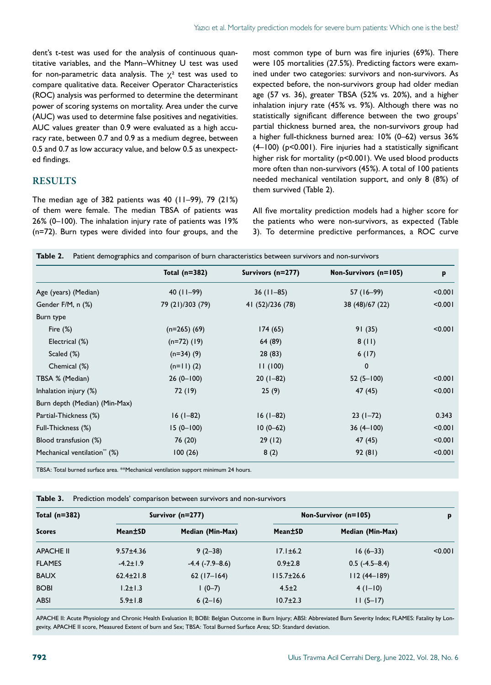dent's t-test was used for the analysis of continuous quantitative variables, and the Mann–Whitney U test was used for non-parametric data analysis. The  $\chi^2$  test was used to compare qualitative data. Receiver Operator Characteristics (ROC) analysis was performed to determine the determinant power of scoring systems on mortality. Area under the curve (AUC) was used to determine false positives and negativities. AUC values greater than 0.9 were evaluated as a high accuracy rate, between 0.7 and 0.9 as a medium degree, between 0.5 and 0.7 as low accuracy value, and below 0.5 as unexpected findings.

## **RESULTS**

The median age of 382 patients was 40 (11–99), 79 (21%) of them were female. The median TBSA of patients was 26% (0–100). The inhalation injury rate of patients was 19% (n=72). Burn types were divided into four groups, and the most common type of burn was fire injuries (69%). There were 105 mortalities (27.5%). Predicting factors were examined under two categories: survivors and non-survivors. As expected before, the non-survivors group had older median age (57 vs. 36), greater TBSA (52% vs. 20%), and a higher inhalation injury rate (45% vs. 9%). Although there was no statistically significant difference between the two groups' partial thickness burned area, the non-survivors group had a higher full-thickness burned area: 10% (0–62) versus 36% (4–100) (p<0.001). Fire injuries had a statistically significant higher risk for mortality (p<0.001). We used blood products more often than non-survivors (45%). A total of 100 patients needed mechanical ventilation support, and only 8 (8%) of them survived (Table 2).

All five mortality prediction models had a higher score for the patients who were non-survivors, as expected (Table 3). To determine predictive performances, a ROC curve

|                                          | Total $(n=382)$  | Survivors (n=277) | Non-Survivors (n=105) | p       |
|------------------------------------------|------------------|-------------------|-----------------------|---------|
| Age (years) (Median)                     | $40$ (11-99)     | $36(11-85)$       | 57 (16-99)            | < 0.001 |
| Gender F/M, n (%)                        | 79 (21)/303 (79) | 41 (52)/236 (78)  | 38 (48)/67 (22)       | < 0.001 |
| Burn type                                |                  |                   |                       |         |
| Fire $(\%)$                              | $(n=265)$ (69)   | 174(65)           | 91(35)                | < 0.001 |
| Electrical (%)                           | $(n=72)$ (19)    | 64 (89)           | 8(11)                 |         |
| Scaled (%)                               | $(n=34)$ (9)     | 28(83)            | 6(17)                 |         |
| Chemical (%)                             | $(n=11)$ (2)     | 11(100)           | $\mathbf 0$           |         |
| TBSA % (Median)                          | $26(0-100)$      | $20(1-82)$        | $52(5-100)$           | < 0.001 |
| Inhalation injury (%)                    | 72 (19)          | 25(9)             | 47 (45)               | < 0.001 |
| Burn depth (Median) (Min-Max)            |                  |                   |                       |         |
| Partial-Thickness (%)                    | $16(1-82)$       | $16(1-82)$        | $23(1-72)$            | 0.343   |
| Full-Thickness (%)                       | $15(0-100)$      | $10(0-62)$        | $36(4-100)$           | < 0.001 |
| Blood transfusion (%)                    | 76 (20)          | 29(12)            | 47 (45)               | < 0.001 |
| Mechanical ventilation <sup>**</sup> (%) | 100(26)          | 8(2)              | 92(81)                | < 0.001 |

TBSA: Total burned surface area. \*\*Mechanical ventilation support minimum 24 hours.

| Total $(n=382)$  | Survivor $(n=277)$ |                     | Non-Survivor (n=105) |                  | p       |
|------------------|--------------------|---------------------|----------------------|------------------|---------|
| <b>Scores</b>    | Mean±SD            | Median (Min-Max)    | Mean±SD              | Median (Min-Max) |         |
| <b>APACHE II</b> | $9.57 \pm 4.36$    | $9(2-38)$           | $17.1 \pm 6.2$       | $16(6-33)$       | < 0.001 |
| <b>FLAMES</b>    | $-4.2 \pm 1.9$     | $-4.4$ $(-7.9-8.6)$ | $0.9 \pm 2.8$        | $0.5$ (-4.5-8.4) |         |
| <b>BAUX</b>      | $62.4 \pm 21.8$    | $62(17-164)$        | $115.7 \pm 26.6$     | $112(44-189)$    |         |
| <b>BOBI</b>      | $1.2 \pm 1.3$      | $1(0-7)$            | $4.5 \pm 2$          | $4(1-10)$        |         |
| <b>ABSI</b>      | $5.9 \pm 1.8$      | $6(2-16)$           | $10.7 \pm 2.3$       | $11(5-17)$       |         |

APACHE II: Acute Physiology and Chronic Health Evaluation II; BOBI: Belgian Outcome in Burn Injury; ABSI: Abbreviated Burn Severity Index; FLAMES: Fatality by Longevity, APACHE II score, Measured Extent of burn and Sex; TBSA: Total Burned Surface Area; SD: Standard deviation.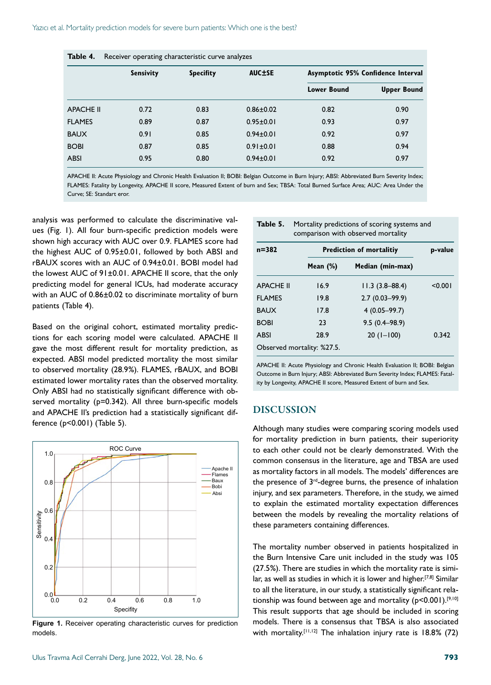| Table 4.         | Receiver operating characteristic curve analyzes |                  |                 |                                    |                    |  |
|------------------|--------------------------------------------------|------------------|-----------------|------------------------------------|--------------------|--|
|                  | <b>Sensivity</b>                                 | <b>Specifity</b> | <b>AUC±SE</b>   | Asymptotic 95% Confidence Interval |                    |  |
|                  |                                                  |                  |                 | <b>Lower Bound</b>                 | <b>Upper Bound</b> |  |
| <b>APACHE II</b> | 0.72                                             | 0.83             | $0.86 \pm 0.02$ | 0.82                               | 0.90               |  |
| <b>FLAMES</b>    | 0.89                                             | 0.87             | $0.95 \pm 0.01$ | 0.93                               | 0.97               |  |
| <b>BAUX</b>      | 0.91                                             | 0.85             | $0.94 \pm 0.01$ | 0.92                               | 0.97               |  |
| <b>BOBI</b>      | 0.87                                             | 0.85             | $0.91 \pm 0.01$ | 0.88                               | 0.94               |  |
| <b>ABSI</b>      | 0.95                                             | 0.80             | $0.94 \pm 0.01$ | 0.92                               | 0.97               |  |

APACHE II: Acute Physiology and Chronic Health Evaluation II; BOBI: Belgian Outcome in Burn Injury; ABSI: Abbreviated Burn Severity Index; FLAMES: Fatality by Longevity, APACHE II score, Measured Extent of burn and Sex; TBSA: Total Burned Surface Area; AUC: Area Under the Curve; SE: Standart eror.

analysis was performed to calculate the discriminative values (Fig. 1). All four burn-specific prediction models were shown high accuracy with AUC over 0.9. FLAMES score had the highest AUC of 0.95±0.01, followed by both ABSI and rBAUX scores with an AUC of 0.94±0.01. BOBI model had the lowest AUC of 91±0.01. APACHE II score, that the only predicting model for general ICUs, had moderate accuracy with an AUC of 0.86±0.02 to discriminate mortality of burn patients (Table 4).

Based on the original cohort, estimated mortality predictions for each scoring model were calculated. APACHE II gave the most different result for mortality prediction, as expected. ABSI model predicted mortality the most similar to observed mortality (28.9%). FLAMES, rBAUX, and BOBI estimated lower mortality rates than the observed mortality. Only ABSI had no statistically significant difference with observed mortality (p=0.342). All three burn-specific models and APACHE II's prediction had a statistically significant difference (p<0.001) (Table 5).



**Figure 1.** Receiver operating characteristic curves for prediction models.

| Table 5.<br>Mortality predictions of scoring systems and<br>comparison with observed mortality |             |                                 |         |  |  |
|------------------------------------------------------------------------------------------------|-------------|---------------------------------|---------|--|--|
| $n = 382$                                                                                      |             | <b>Prediction of mortalitiy</b> |         |  |  |
|                                                                                                | Mean $(\%)$ | Median (min-max)                |         |  |  |
| <b>APACHE II</b>                                                                               | 16.9        | $11.3(3.8 - 88.4)$              | < 0.001 |  |  |
| <b>FLAMES</b>                                                                                  | 19.8        | $2.7(0.03 - 99.9)$              |         |  |  |
| <b>BAUX</b>                                                                                    | 17.8        | $4(0.05 - 99.7)$                |         |  |  |
| <b>BOBI</b>                                                                                    | 23          | $9.5(0.4 - 98.9)$               |         |  |  |
| <b>ABSI</b>                                                                                    | 28.9        | $20(1-100)$                     | 0.342   |  |  |

APACHE II: Acute Physiology and Chronic Health Evaluation II; BOBI: Belgian Outcome in Burn Injury; ABSI: Abbreviated Burn Severity Index; FLAMES: Fatality by Longevity, APACHE II score, Measured Extent of burn and Sex.

#### DISCUSSION

Observed mortality: %27.5.

Although many studies were comparing scoring models used for mortality prediction in burn patients, their superiority to each other could not be clearly demonstrated. With the common consensus in the literature, age and TBSA are used as mortality factors in all models. The models' differences are the presence of 3<sup>rd</sup>-degree burns, the presence of inhalation injury, and sex parameters. Therefore, in the study, we aimed to explain the estimated mortality expectation differences between the models by revealing the mortality relations of these parameters containing differences.

The mortality number observed in patients hospitalized in the Burn Intensive Care unit included in the study was 105 (27.5%). There are studies in which the mortality rate is similar, as well as studies in which it is lower and higher.<sup>[7,8]</sup> Similar to all the literature, in our study, a statistically significant relationship was found between age and mortality ( $p$ <0.001).<sup>[9,10]</sup> This result supports that age should be included in scoring models. There is a consensus that TBSA is also associated with mortality.<sup>[11,12]</sup> The inhalation injury rate is 18.8% (72)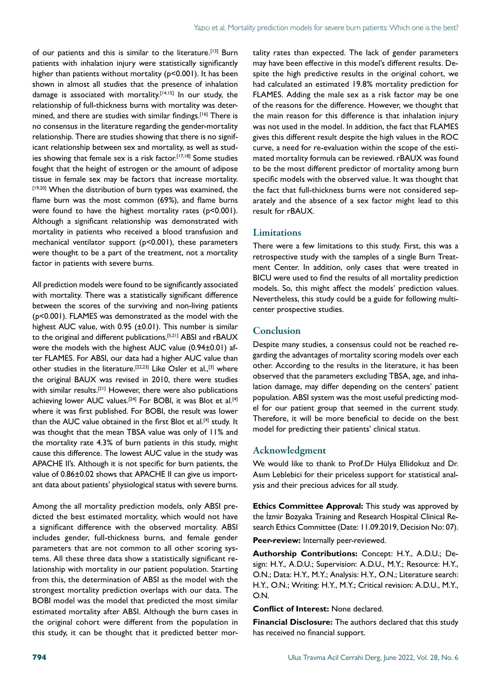of our patients and this is similar to the literature.<sup>[13]</sup> Burn patients with inhalation injury were statistically significantly higher than patients without mortality (p<0.001). It has been shown in almost all studies that the presence of inhalation damage is associated with mortality.<sup>[14,15]</sup> In our study, the relationship of full-thickness burns with mortality was determined, and there are studies with similar findings.<sup>[16]</sup> There is no consensus in the literature regarding the gender-mortality relationship. There are studies showing that there is no significant relationship between sex and mortality, as well as studies showing that female sex is a risk factor.<sup>[17,18]</sup> Some studies fought that the height of estrogen or the amount of adipose tissue in female sex may be factors that increase mortality. [19,20] When the distribution of burn types was examined, the flame burn was the most common (69%), and flame burns were found to have the highest mortality rates (p<0.001). Although a significant relationship was demonstrated with mortality in patients who received a blood transfusion and mechanical ventilator support (p<0.001), these parameters were thought to be a part of the treatment, not a mortality factor in patients with severe burns.

All prediction models were found to be significantly associated with mortality. There was a statistically significant difference between the scores of the surviving and non-living patients (p<0.001). FLAMES was demonstrated as the model with the highest AUC value, with 0.95 (±0.01). This number is similar to the original and different publications.[5,21] ABSI and rBAUX were the models with the highest AUC value (0.94±0.01) after FLAMES. For ABSI, our data had a higher AUC value than other studies in the literature.[22,23] Like Osler et al.,[3] where the original BAUX was revised in 2010, there were studies with similar results.<sup>[21]</sup> However, there were also publications achieving lower AUC values.<sup>[24]</sup> For BOBI, it was Blot et al.<sup>[4]</sup> where it was first published. For BOBI, the result was lower than the AUC value obtained in the first Blot et al.<sup>[4]</sup> study. It was thought that the mean TBSA value was only of 11% and the mortality rate 4.3% of burn patients in this study, might cause this difference. The lowest AUC value in the study was APACHE II's. Although it is not specific for burn patients, the value of 0.86±0.02 shows that APACHE II can give us important data about patients' physiological status with severe burns.

Among the all mortality prediction models, only ABSI predicted the best estimated mortality, which would not have a significant difference with the observed mortality. ABSI includes gender, full-thickness burns, and female gender parameters that are not common to all other scoring systems. All these three data show a statistically significant relationship with mortality in our patient population. Starting from this, the determination of ABSI as the model with the strongest mortality prediction overlaps with our data. The BOBI model was the model that predicted the most similar estimated mortality after ABSI. Although the burn cases in the original cohort were different from the population in this study, it can be thought that it predicted better mortality rates than expected. The lack of gender parameters may have been effective in this model's different results. Despite the high predictive results in the original cohort, we had calculated an estimated 19.8% mortality prediction for FLAMES. Adding the male sex as a risk factor may be one of the reasons for the difference. However, we thought that the main reason for this difference is that inhalation injury was not used in the model. In addition, the fact that FLAMES gives this different result despite the high values in the ROC curve, a need for re-evaluation within the scope of the estimated mortality formula can be reviewed. rBAUX was found to be the most different predictor of mortality among burn specific models with the observed value. It was thought that the fact that full-thickness burns were not considered separately and the absence of a sex factor might lead to this result for rBAUX.

#### **Limitations**

There were a few limitations to this study. First, this was a retrospective study with the samples of a single Burn Treatment Center. In addition, only cases that were treated in BICU were used to find the results of all mortality prediction models. So, this might affect the models' prediction values. Nevertheless, this study could be a guide for following multicenter prospective studies.

#### Conclusion

Despite many studies, a consensus could not be reached regarding the advantages of mortality scoring models over each other. According to the results in the literature, it has been observed that the parameters excluding TBSA, age, and inhalation damage, may differ depending on the centers' patient population. ABSI system was the most useful predicting model for our patient group that seemed in the current study. Therefore, it will be more beneficial to decide on the best model for predicting their patients' clinical status.

#### Acknowledgment

We would like to thank to Prof.Dr Hülya Ellidokuz and Dr. Asım Leblebici for their priceless support for statistical analysis and their precious advices for all study.

**Ethics Committee Approval:** This study was approved by the İzmir Bozyaka Training and Research Hospital Clinical Research Ethics Committee (Date: 11.09.2019, Decision No: 07).

**Peer-review:** Internally peer-reviewed.

**Authorship Contributions:** Concept: H.Y., A.D.U.; Design: H.Y., A.D.U.; Supervision: A.D.U., M.Y.; Resource: H.Y., O.N.; Data: H.Y., M.Y.; Analysis: H.Y., O.N.; Literature search: H.Y., O.N.; Writing: H.Y., M.Y.; Critical revision: A.D.U., M.Y., O.N.

**Conflict of Interest:** None declared.

**Financial Disclosure:** The authors declared that this study has received no financial support.